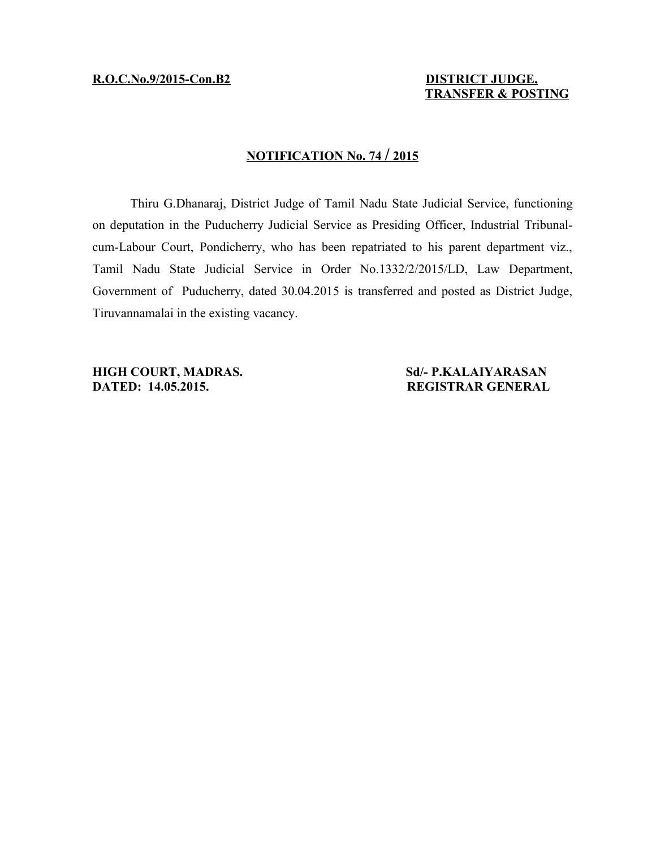**R.O.C.No.9/2015-Con.B2 DISTRICT JUDGE,**

## **TRANSFER & POSTING**

## **N OTIFICATION No. 74 / 2015**

Thiru G.Dhanaraj, District Judge of Tamil Nadu State Judicial Service, functioning on deputation in the Puducherry Judicial Service as Presiding Officer, Industrial Tribunalcum-Labour Court, Pondicherry, who has been repatriated to his parent department viz., Tamil Nadu State Judicial Service in Order No.1332/2/2015/LD, Law Department, Government of Puducherry, dated 30.04.2015 is transferred and posted as District Judge, Tiruvannamalai in the existing vacancy.

**HIGH COURT, MADRAS.** Sd/- P.KALAIYARASAN **DATED: 14.05.2015. REGISTRAR GENERAL**